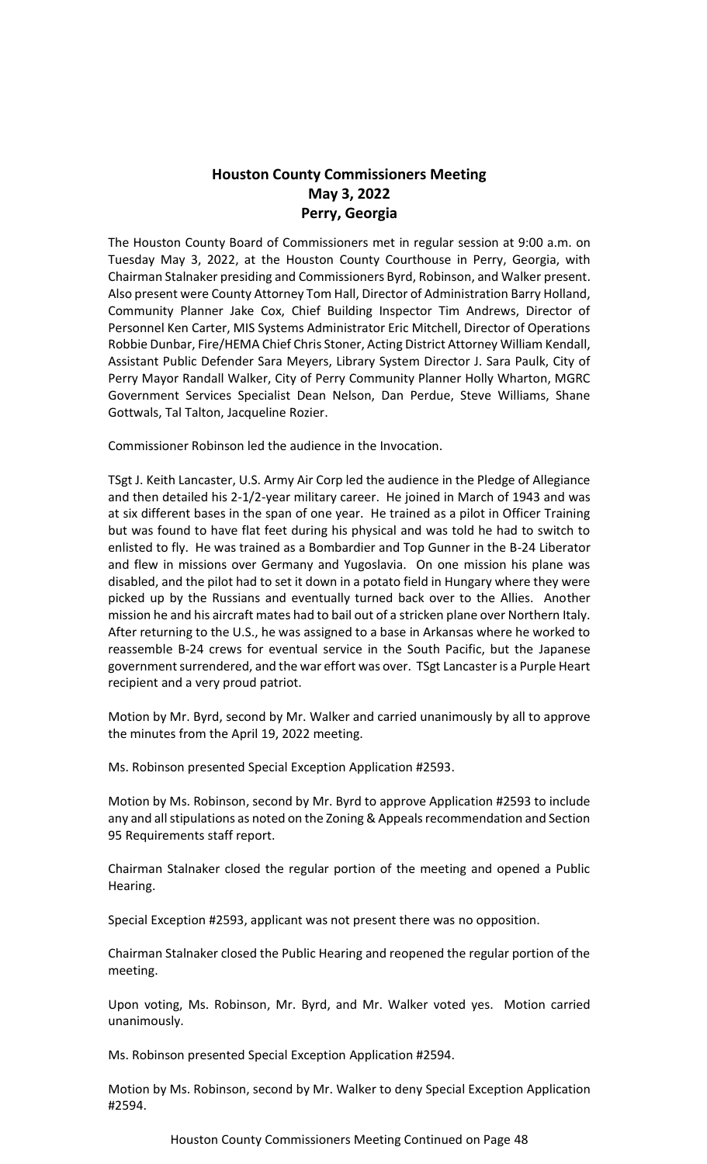# **Houston County Commissioners Meeting May 3, 2022 Perry, Georgia**

The Houston County Board of Commissioners met in regular session at 9:00 a.m. on Tuesday May 3, 2022, at the Houston County Courthouse in Perry, Georgia, with Chairman Stalnaker presiding and Commissioners Byrd, Robinson, and Walker present. Also present were County Attorney Tom Hall, Director of Administration Barry Holland, Community Planner Jake Cox, Chief Building Inspector Tim Andrews, Director of Personnel Ken Carter, MIS Systems Administrator Eric Mitchell, Director of Operations Robbie Dunbar, Fire/HEMA Chief Chris Stoner, Acting District Attorney William Kendall, Assistant Public Defender Sara Meyers, Library System Director J. Sara Paulk, City of Perry Mayor Randall Walker, City of Perry Community Planner Holly Wharton, MGRC Government Services Specialist Dean Nelson, Dan Perdue, Steve Williams, Shane Gottwals, Tal Talton, Jacqueline Rozier.

Commissioner Robinson led the audience in the Invocation.

TSgt J. Keith Lancaster, U.S. Army Air Corp led the audience in the Pledge of Allegiance and then detailed his 2-1/2-year military career. He joined in March of 1943 and was at six different bases in the span of one year. He trained as a pilot in Officer Training but was found to have flat feet during his physical and was told he had to switch to enlisted to fly. He was trained as a Bombardier and Top Gunner in the B-24 Liberator and flew in missions over Germany and Yugoslavia. On one mission his plane was disabled, and the pilot had to set it down in a potato field in Hungary where they were picked up by the Russians and eventually turned back over to the Allies. Another mission he and his aircraft mates had to bail out of a stricken plane over Northern Italy. After returning to the U.S., he was assigned to a base in Arkansas where he worked to reassemble B-24 crews for eventual service in the South Pacific, but the Japanese government surrendered, and the war effort was over. TSgt Lancaster is a Purple Heart recipient and a very proud patriot.

Motion by Mr. Byrd, second by Mr. Walker and carried unanimously by all to approve the minutes from the April 19, 2022 meeting.

Ms. Robinson presented Special Exception Application #2593.

Motion by Ms. Robinson, second by Mr. Byrd to approve Application #2593 to include any and all stipulations as noted on the Zoning & Appeals recommendation and Section 95 Requirements staff report.

Chairman Stalnaker closed the regular portion of the meeting and opened a Public Hearing.

Special Exception #2593, applicant was not present there was no opposition.

Chairman Stalnaker closed the Public Hearing and reopened the regular portion of the meeting.

Upon voting, Ms. Robinson, Mr. Byrd, and Mr. Walker voted yes. Motion carried unanimously.

Ms. Robinson presented Special Exception Application #2594.

Motion by Ms. Robinson, second by Mr. Walker to deny Special Exception Application #2594.

Houston County Commissioners Meeting Continued on Page 48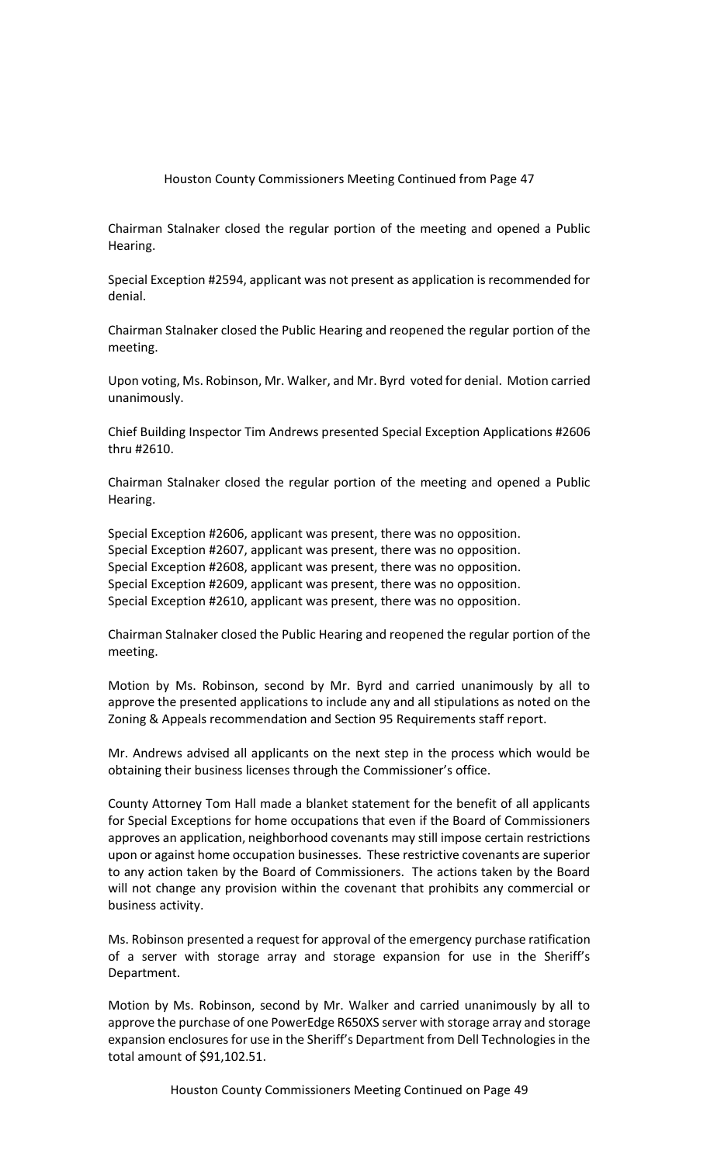Chairman Stalnaker closed the regular portion of the meeting and opened a Public Hearing.

Special Exception #2594, applicant was not present as application is recommended for denial.

Chairman Stalnaker closed the Public Hearing and reopened the regular portion of the meeting.

Upon voting, Ms. Robinson, Mr. Walker, and Mr. Byrd voted for denial. Motion carried unanimously.

Chief Building Inspector Tim Andrews presented Special Exception Applications #2606 thru #2610.

Chairman Stalnaker closed the regular portion of the meeting and opened a Public Hearing.

Special Exception #2606, applicant was present, there was no opposition. Special Exception #2607, applicant was present, there was no opposition. Special Exception #2608, applicant was present, there was no opposition. Special Exception #2609, applicant was present, there was no opposition. Special Exception #2610, applicant was present, there was no opposition.

Chairman Stalnaker closed the Public Hearing and reopened the regular portion of the meeting.

Motion by Ms. Robinson, second by Mr. Byrd and carried unanimously by all to approve the presented applications to include any and all stipulations as noted on the Zoning & Appeals recommendation and Section 95 Requirements staff report.

Mr. Andrews advised all applicants on the next step in the process which would be obtaining their business licenses through the Commissioner's office.

County Attorney Tom Hall made a blanket statement for the benefit of all applicants for Special Exceptions for home occupations that even if the Board of Commissioners approves an application, neighborhood covenants may still impose certain restrictions upon or against home occupation businesses. These restrictive covenants are superior to any action taken by the Board of Commissioners. The actions taken by the Board will not change any provision within the covenant that prohibits any commercial or business activity.

Ms. Robinson presented a request for approval of the emergency purchase ratification of a server with storage array and storage expansion for use in the Sheriff's Department.

Motion by Ms. Robinson, second by Mr. Walker and carried unanimously by all to approve the purchase of one PowerEdge R650XS server with storage array and storage expansion enclosures for use in the Sheriff's Department from Dell Technologies in the total amount of \$91,102.51.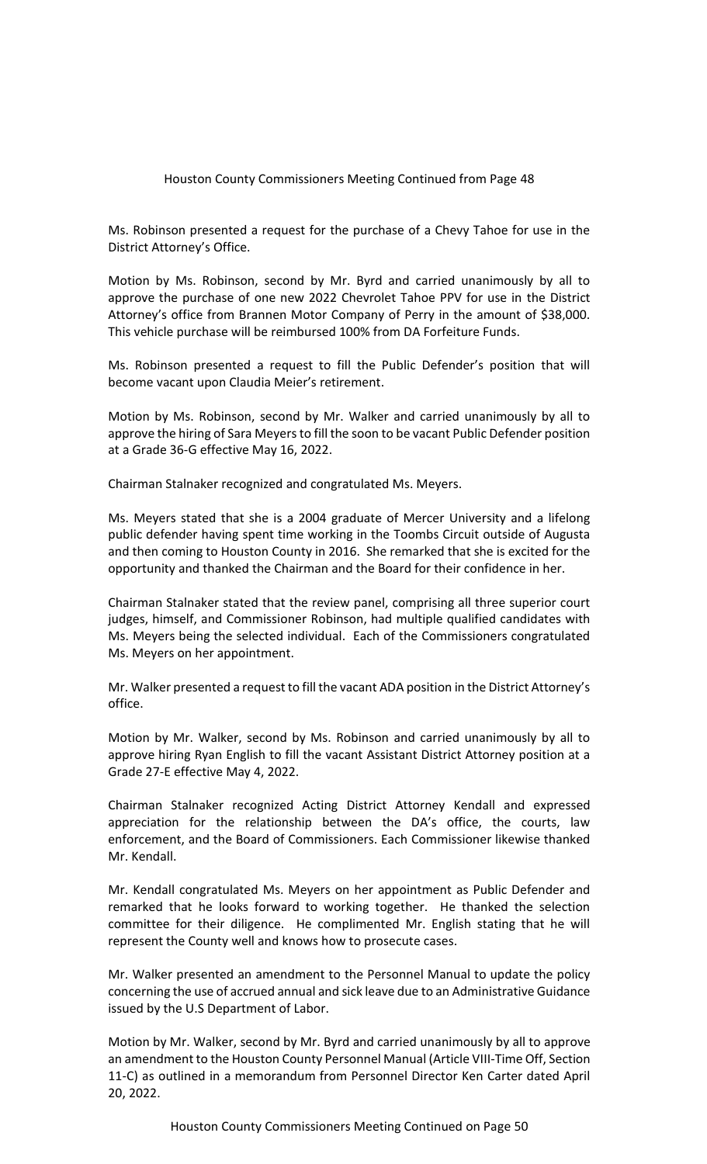Ms. Robinson presented a request for the purchase of a Chevy Tahoe for use in the District Attorney's Office.

Motion by Ms. Robinson, second by Mr. Byrd and carried unanimously by all to approve the purchase of one new 2022 Chevrolet Tahoe PPV for use in the District Attorney's office from Brannen Motor Company of Perry in the amount of \$38,000. This vehicle purchase will be reimbursed 100% from DA Forfeiture Funds.

Ms. Robinson presented a request to fill the Public Defender's position that will become vacant upon Claudia Meier's retirement.

Motion by Ms. Robinson, second by Mr. Walker and carried unanimously by all to approve the hiring of Sara Meyers to fill the soon to be vacant Public Defender position at a Grade 36-G effective May 16, 2022.

Chairman Stalnaker recognized and congratulated Ms. Meyers.

Ms. Meyers stated that she is a 2004 graduate of Mercer University and a lifelong public defender having spent time working in the Toombs Circuit outside of Augusta and then coming to Houston County in 2016. She remarked that she is excited for the opportunity and thanked the Chairman and the Board for their confidence in her.

Chairman Stalnaker stated that the review panel, comprising all three superior court judges, himself, and Commissioner Robinson, had multiple qualified candidates with Ms. Meyers being the selected individual. Each of the Commissioners congratulated Ms. Meyers on her appointment.

Mr. Walker presented a request to fill the vacant ADA position in the District Attorney's office.

Motion by Mr. Walker, second by Ms. Robinson and carried unanimously by all to approve hiring Ryan English to fill the vacant Assistant District Attorney position at a Grade 27-E effective May 4, 2022.

Chairman Stalnaker recognized Acting District Attorney Kendall and expressed appreciation for the relationship between the DA's office, the courts, law enforcement, and the Board of Commissioners. Each Commissioner likewise thanked Mr. Kendall.

Mr. Kendall congratulated Ms. Meyers on her appointment as Public Defender and remarked that he looks forward to working together. He thanked the selection committee for their diligence. He complimented Mr. English stating that he will represent the County well and knows how to prosecute cases.

Mr. Walker presented an amendment to the Personnel Manual to update the policy concerning the use of accrued annual and sick leave due to an Administrative Guidance issued by the U.S Department of Labor.

Motion by Mr. Walker, second by Mr. Byrd and carried unanimously by all to approve an amendment to the Houston County Personnel Manual (Article VIII-Time Off, Section 11-C) as outlined in a memorandum from Personnel Director Ken Carter dated April 20, 2022.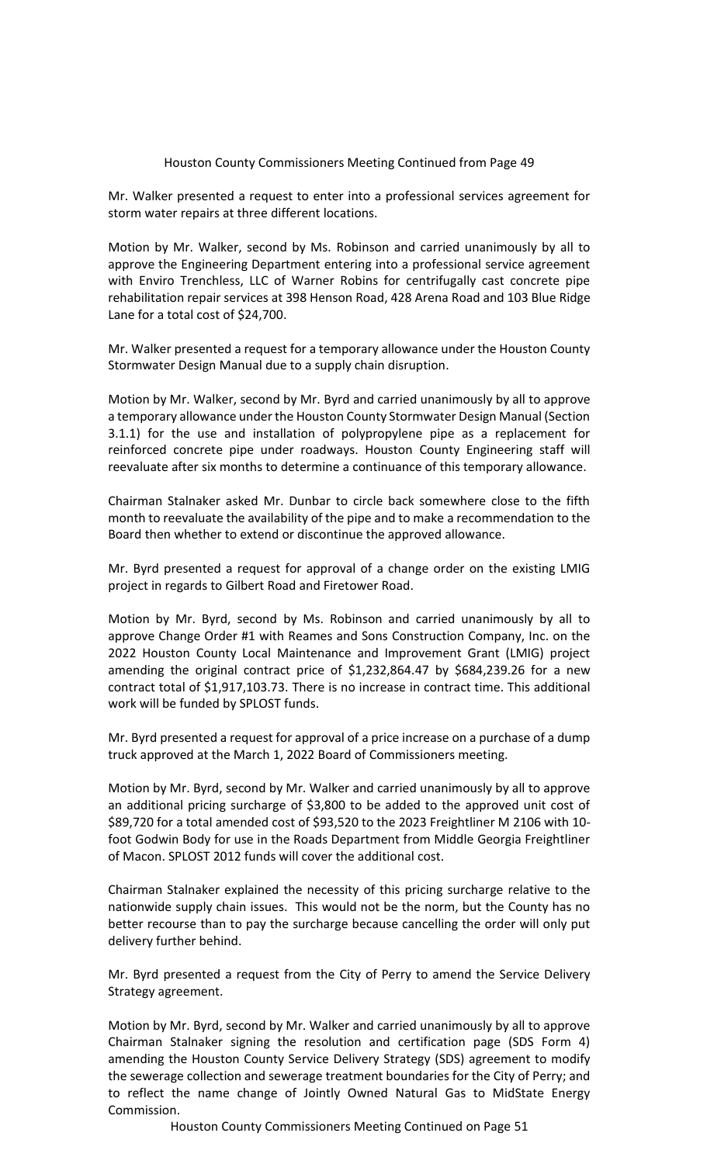Mr. Walker presented a request to enter into a professional services agreement for storm water repairs at three different locations.

Motion by Mr. Walker, second by Ms. Robinson and carried unanimously by all to approve the Engineering Department entering into a professional service agreement with Enviro Trenchless, LLC of Warner Robins for centrifugally cast concrete pipe rehabilitation repair services at 398 Henson Road, 428 Arena Road and 103 Blue Ridge Lane for a total cost of \$24,700.

Mr. Walker presented a request for a temporary allowance under the Houston County Stormwater Design Manual due to a supply chain disruption.

Motion by Mr. Walker, second by Mr. Byrd and carried unanimously by all to approve a temporary allowance under the Houston County Stormwater Design Manual (Section 3.1.1) for the use and installation of polypropylene pipe as a replacement for reinforced concrete pipe under roadways. Houston County Engineering staff will reevaluate after six months to determine a continuance of this temporary allowance.

Chairman Stalnaker asked Mr. Dunbar to circle back somewhere close to the fifth month to reevaluate the availability of the pipe and to make a recommendation to the Board then whether to extend or discontinue the approved allowance.

Mr. Byrd presented a request for approval of a change order on the existing LMIG project in regards to Gilbert Road and Firetower Road.

Motion by Mr. Byrd, second by Ms. Robinson and carried unanimously by all to approve Change Order #1 with Reames and Sons Construction Company, Inc. on the 2022 Houston County Local Maintenance and Improvement Grant (LMIG) project amending the original contract price of \$1,232,864.47 by \$684,239.26 for a new contract total of \$1,917,103.73. There is no increase in contract time. This additional work will be funded by SPLOST funds.

Mr. Byrd presented a request for approval of a price increase on a purchase of a dump truck approved at the March 1, 2022 Board of Commissioners meeting.

Motion by Mr. Byrd, second by Mr. Walker and carried unanimously by all to approve an additional pricing surcharge of \$3,800 to be added to the approved unit cost of \$89,720 for a total amended cost of \$93,520 to the 2023 Freightliner M 2106 with 10 foot Godwin Body for use in the Roads Department from Middle Georgia Freightliner of Macon. SPLOST 2012 funds will cover the additional cost.

Chairman Stalnaker explained the necessity of this pricing surcharge relative to the nationwide supply chain issues. This would not be the norm, but the County has no better recourse than to pay the surcharge because cancelling the order will only put delivery further behind.

Mr. Byrd presented a request from the City of Perry to amend the Service Delivery Strategy agreement.

Motion by Mr. Byrd, second by Mr. Walker and carried unanimously by all to approve Chairman Stalnaker signing the resolution and certification page (SDS Form 4) amending the Houston County Service Delivery Strategy (SDS) agreement to modify the sewerage collection and sewerage treatment boundaries for the City of Perry; and to reflect the name change of Jointly Owned Natural Gas to MidState Energy Commission.

Houston County Commissioners Meeting Continued on Page 51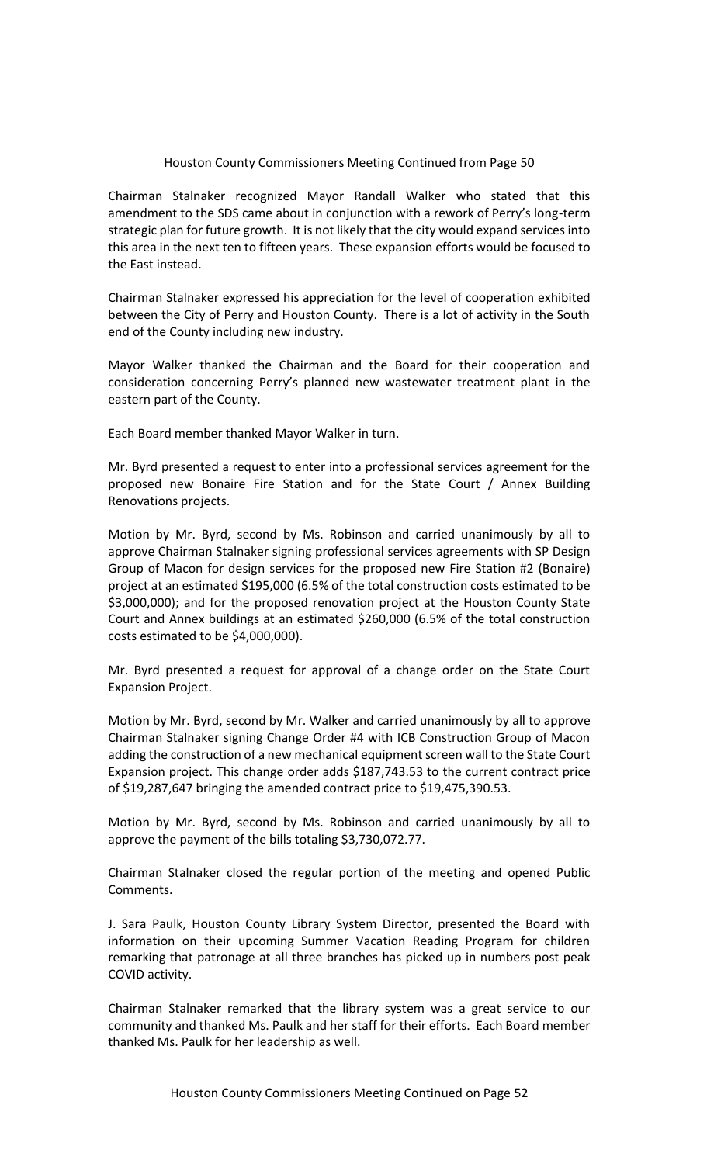Chairman Stalnaker recognized Mayor Randall Walker who stated that this amendment to the SDS came about in conjunction with a rework of Perry's long-term strategic plan for future growth. It is not likely that the city would expand services into this area in the next ten to fifteen years. These expansion efforts would be focused to the East instead.

Chairman Stalnaker expressed his appreciation for the level of cooperation exhibited between the City of Perry and Houston County. There is a lot of activity in the South end of the County including new industry.

Mayor Walker thanked the Chairman and the Board for their cooperation and consideration concerning Perry's planned new wastewater treatment plant in the eastern part of the County.

Each Board member thanked Mayor Walker in turn.

Mr. Byrd presented a request to enter into a professional services agreement for the proposed new Bonaire Fire Station and for the State Court / Annex Building Renovations projects.

Motion by Mr. Byrd, second by Ms. Robinson and carried unanimously by all to approve Chairman Stalnaker signing professional services agreements with SP Design Group of Macon for design services for the proposed new Fire Station #2 (Bonaire) project at an estimated \$195,000 (6.5% of the total construction costs estimated to be \$3,000,000); and for the proposed renovation project at the Houston County State Court and Annex buildings at an estimated \$260,000 (6.5% of the total construction costs estimated to be \$4,000,000).

Mr. Byrd presented a request for approval of a change order on the State Court Expansion Project.

Motion by Mr. Byrd, second by Mr. Walker and carried unanimously by all to approve Chairman Stalnaker signing Change Order #4 with ICB Construction Group of Macon adding the construction of a new mechanical equipment screen wall to the State Court Expansion project. This change order adds \$187,743.53 to the current contract price of \$19,287,647 bringing the amended contract price to \$19,475,390.53.

Motion by Mr. Byrd, second by Ms. Robinson and carried unanimously by all to approve the payment of the bills totaling \$3,730,072.77.

Chairman Stalnaker closed the regular portion of the meeting and opened Public Comments.

J. Sara Paulk, Houston County Library System Director, presented the Board with information on their upcoming Summer Vacation Reading Program for children remarking that patronage at all three branches has picked up in numbers post peak COVID activity.

Chairman Stalnaker remarked that the library system was a great service to our community and thanked Ms. Paulk and her staff for their efforts. Each Board member thanked Ms. Paulk for her leadership as well.